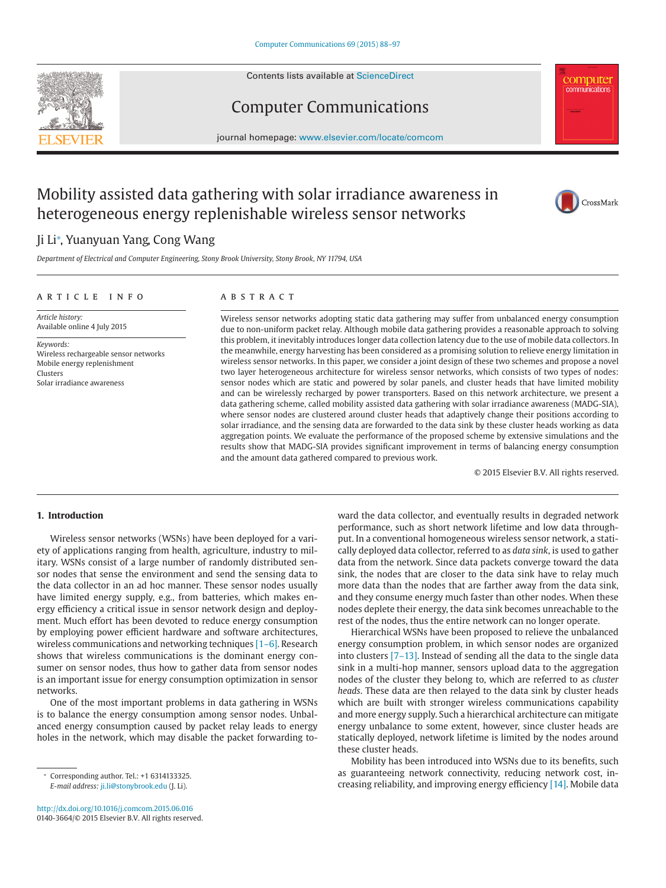Contents lists available at [ScienceDirect](http://www.ScienceDirect.com)





journal homepage: [www.elsevier.com/locate/comcom](http://www.elsevier.com/locate/comcom)

## Mobility assisted data gathering with solar irradiance awareness in heterogeneous energy replenishable wireless sensor networks



**COMputer**<br>
communications

### Ji Li<sup>∗</sup> , Yuanyuan Yang, Cong Wang

*Department of Electrical and Computer Engineering, Stony Brook University, Stony Brook, NY 11794, USA*

#### article info

#### **ABSTRACT**

*Article history:* Available online 4 July 2015

*Keywords:* Wireless rechargeable sensor networks Mobile energy replenishment Clusters Solar irradiance awareness

Wireless sensor networks adopting static data gathering may suffer from unbalanced energy consumption due to non-uniform packet relay. Although mobile data gathering provides a reasonable approach to solving this problem, it inevitably introduces longer data collection latency due to the use of mobile data collectors. In the meanwhile, energy harvesting has been considered as a promising solution to relieve energy limitation in wireless sensor networks. In this paper, we consider a joint design of these two schemes and propose a novel two layer heterogeneous architecture for wireless sensor networks, which consists of two types of nodes: sensor nodes which are static and powered by solar panels, and cluster heads that have limited mobility and can be wirelessly recharged by power transporters. Based on this network architecture, we present a data gathering scheme, called mobility assisted data gathering with solar irradiance awareness (MADG-SIA), where sensor nodes are clustered around cluster heads that adaptively change their positions according to solar irradiance, and the sensing data are forwarded to the data sink by these cluster heads working as data aggregation points. We evaluate the performance of the proposed scheme by extensive simulations and the results show that MADG-SIA provides significant improvement in terms of balancing energy consumption and the amount data gathered compared to previous work.

© 2015 Elsevier B.V. All rights reserved.

#### **1. Introduction**

Wireless sensor networks (WSNs) have been deployed for a variety of applications ranging from health, agriculture, industry to military. WSNs consist of a large number of randomly distributed sensor nodes that sense the environment and send the sensing data to the data collector in an ad hoc manner. These sensor nodes usually have limited energy supply, e.g., from batteries, which makes energy efficiency a critical issue in sensor network design and deployment. Much effort has been devoted to reduce energy consumption by employing power efficient hardware and software architectures, wireless communications and networking techniques [\[1–6\].](#page--1-0) Research shows that wireless communications is the dominant energy consumer on sensor nodes, thus how to gather data from sensor nodes is an important issue for energy consumption optimization in sensor networks.

One of the most important problems in data gathering in WSNs is to balance the energy consumption among sensor nodes. Unbalanced energy consumption caused by packet relay leads to energy holes in the network, which may disable the packet forwarding to-

<http://dx.doi.org/10.1016/j.comcom.2015.06.016> 0140-3664/© 2015 Elsevier B.V. All rights reserved. ward the data collector, and eventually results in degraded network performance, such as short network lifetime and low data throughput. In a conventional homogeneous wireless sensor network, a statically deployed data collector, referred to as *data sink*, is used to gather data from the network. Since data packets converge toward the data sink, the nodes that are closer to the data sink have to relay much more data than the nodes that are farther away from the data sink, and they consume energy much faster than other nodes. When these nodes deplete their energy, the data sink becomes unreachable to the rest of the nodes, thus the entire network can no longer operate.

Hierarchical WSNs have been proposed to relieve the unbalanced energy consumption problem, in which sensor nodes are organized into clusters [\[7–13\].](#page--1-0) Instead of sending all the data to the single data sink in a multi-hop manner, sensors upload data to the aggregation nodes of the cluster they belong to, which are referred to as *cluster heads*. These data are then relayed to the data sink by cluster heads which are built with stronger wireless communications capability and more energy supply. Such a hierarchical architecture can mitigate energy unbalance to some extent, however, since cluster heads are statically deployed, network lifetime is limited by the nodes around these cluster heads.

Mobility has been introduced into WSNs due to its benefits, such as guaranteeing network connectivity, reducing network cost, increasing reliability, and improving energy efficiency [\[14\].](#page--1-0) Mobile data

<sup>∗</sup> Corresponding author. Tel.: +1 6314133325. *E-mail address:* [ji.li@stonybrook.edu](mailto:ji.li@stonybrook.edu) (J. Li).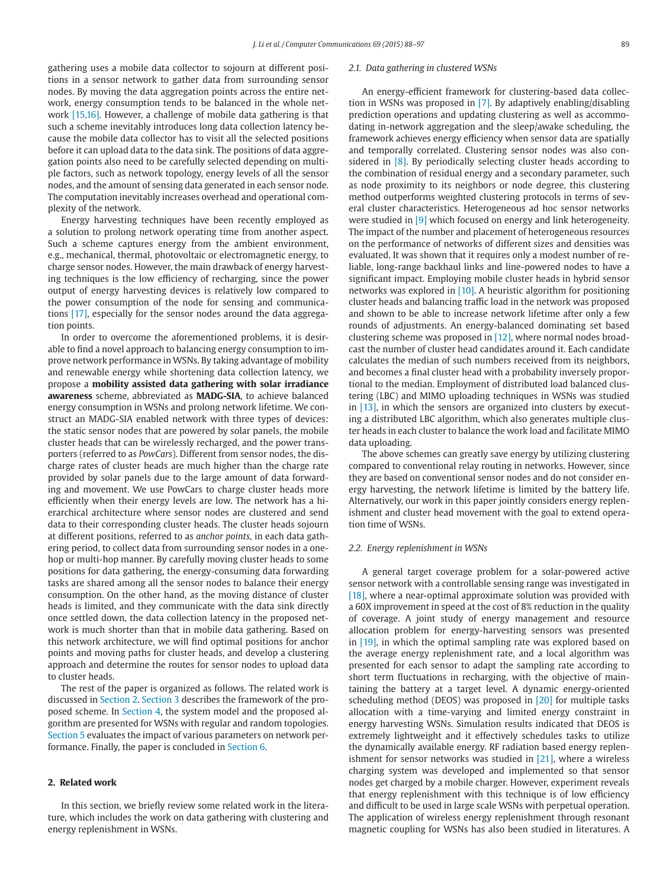gathering uses a mobile data collector to sojourn at different positions in a sensor network to gather data from surrounding sensor nodes. By moving the data aggregation points across the entire network, energy consumption tends to be balanced in the whole network [\[15,16\].](#page--1-0) However, a challenge of mobile data gathering is that such a scheme inevitably introduces long data collection latency because the mobile data collector has to visit all the selected positions before it can upload data to the data sink. The positions of data aggregation points also need to be carefully selected depending on multiple factors, such as network topology, energy levels of all the sensor nodes, and the amount of sensing data generated in each sensor node. The computation inevitably increases overhead and operational complexity of the network.

Energy harvesting techniques have been recently employed as a solution to prolong network operating time from another aspect. Such a scheme captures energy from the ambient environment, e.g., mechanical, thermal, photovoltaic or electromagnetic energy, to charge sensor nodes. However, the main drawback of energy harvesting techniques is the low efficiency of recharging, since the power output of energy harvesting devices is relatively low compared to the power consumption of the node for sensing and communications [\[17\],](#page--1-0) especially for the sensor nodes around the data aggregation points.

In order to overcome the aforementioned problems, it is desirable to find a novel approach to balancing energy consumption to improve network performance in WSNs. By taking advantage of mobility and renewable energy while shortening data collection latency, we propose a **mobility assisted data gathering with solar irradiance awareness** scheme, abbreviated as **MADG-SIA**, to achieve balanced energy consumption in WSNs and prolong network lifetime. We construct an MADG-SIA enabled network with three types of devices: the static sensor nodes that are powered by solar panels, the mobile cluster heads that can be wirelessly recharged, and the power transporters (referred to as *PowCars*). Different from sensor nodes, the discharge rates of cluster heads are much higher than the charge rate provided by solar panels due to the large amount of data forwarding and movement. We use PowCars to charge cluster heads more efficiently when their energy levels are low. The network has a hierarchical architecture where sensor nodes are clustered and send data to their corresponding cluster heads. The cluster heads sojourn at different positions, referred to as *anchor points*, in each data gathering period, to collect data from surrounding sensor nodes in a onehop or multi-hop manner. By carefully moving cluster heads to some positions for data gathering, the energy-consuming data forwarding tasks are shared among all the sensor nodes to balance their energy consumption. On the other hand, as the moving distance of cluster heads is limited, and they communicate with the data sink directly once settled down, the data collection latency in the proposed network is much shorter than that in mobile data gathering. Based on this network architecture, we will find optimal positions for anchor points and moving paths for cluster heads, and develop a clustering approach and determine the routes for sensor nodes to upload data to cluster heads.

The rest of the paper is organized as follows. The related work is discussed in Section 2. [Section 3](#page--1-0) describes the framework of the proposed scheme. In [Section 4,](#page--1-0) the system model and the proposed algorithm are presented for WSNs with regular and random topologies. [Section 5](#page--1-0) evaluates the impact of various parameters on network performance. Finally, the paper is concluded in [Section 6.](#page--1-0)

#### **2. Related work**

In this section, we briefly review some related work in the literature, which includes the work on data gathering with clustering and energy replenishment in WSNs.

#### *2.1. Data gathering in clustered WSNs*

An energy-efficient framework for clustering-based data collection in WSNs was proposed in [\[7\].](#page--1-0) By adaptively enabling/disabling prediction operations and updating clustering as well as accommodating in-network aggregation and the sleep/awake scheduling, the framework achieves energy efficiency when sensor data are spatially and temporally correlated. Clustering sensor nodes was also considered in [\[8\].](#page--1-0) By periodically selecting cluster heads according to the combination of residual energy and a secondary parameter, such as node proximity to its neighbors or node degree, this clustering method outperforms weighted clustering protocols in terms of several cluster characteristics. Heterogeneous ad hoc sensor networks were studied in [\[9\]](#page--1-0) which focused on energy and link heterogeneity. The impact of the number and placement of heterogeneous resources on the performance of networks of different sizes and densities was evaluated. It was shown that it requires only a modest number of reliable, long-range backhaul links and line-powered nodes to have a significant impact. Employing mobile cluster heads in hybrid sensor networks was explored in [\[10\].](#page--1-0) A heuristic algorithm for positioning cluster heads and balancing traffic load in the network was proposed and shown to be able to increase network lifetime after only a few rounds of adjustments. An energy-balanced dominating set based clustering scheme was proposed in [\[12\],](#page--1-0) where normal nodes broadcast the number of cluster head candidates around it. Each candidate calculates the median of such numbers received from its neighbors, and becomes a final cluster head with a probability inversely proportional to the median. Employment of distributed load balanced clustering (LBC) and MIMO uploading techniques in WSNs was studied in [\[13\],](#page--1-0) in which the sensors are organized into clusters by executing a distributed LBC algorithm, which also generates multiple cluster heads in each cluster to balance the work load and facilitate MIMO data uploading.

The above schemes can greatly save energy by utilizing clustering compared to conventional relay routing in networks. However, since they are based on conventional sensor nodes and do not consider energy harvesting, the network lifetime is limited by the battery life. Alternatively, our work in this paper jointly considers energy replenishment and cluster head movement with the goal to extend operation time of WSNs.

#### *2.2. Energy replenishment in WSNs*

A general target coverage problem for a solar-powered active sensor network with a controllable sensing range was investigated in [\[18\],](#page--1-0) where a near-optimal approximate solution was provided with a 60X improvement in speed at the cost of 8% reduction in the quality of coverage. A joint study of energy management and resource allocation problem for energy-harvesting sensors was presented in [\[19\],](#page--1-0) in which the optimal sampling rate was explored based on the average energy replenishment rate, and a local algorithm was presented for each sensor to adapt the sampling rate according to short term fluctuations in recharging, with the objective of maintaining the battery at a target level. A dynamic energy-oriented scheduling method (DEOS) was proposed in [\[20\]](#page--1-0) for multiple tasks allocation with a time-varying and limited energy constraint in energy harvesting WSNs. Simulation results indicated that DEOS is extremely lightweight and it effectively schedules tasks to utilize the dynamically available energy. RF radiation based energy replenishment for sensor networks was studied in [\[21\],](#page--1-0) where a wireless charging system was developed and implemented so that sensor nodes get charged by a mobile charger. However, experiment reveals that energy replenishment with this technique is of low efficiency and difficult to be used in large scale WSNs with perpetual operation. The application of wireless energy replenishment through resonant magnetic coupling for WSNs has also been studied in literatures. A